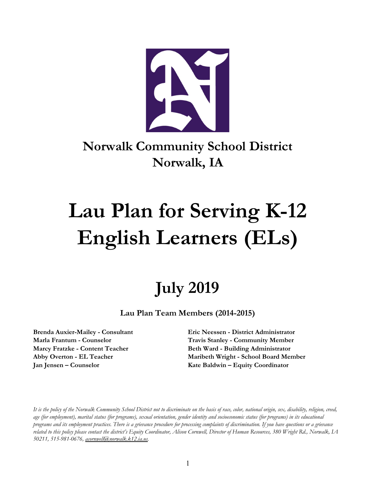

# **Norwalk Community School District Norwalk, IA**

# **Lau Plan for Serving K-12 English Learners (ELs)**

# **July 2019**

**Lau Plan Team Members (2014-2015)**

**Brenda Auxier-Mailey - Consultant Eric Neessen - District Administrator Marla Frantum - Counselor Travis Stanley - Community Member Marcy Fratzke - Content Teacher Beth Ward - Building Administrator Abby Overton - EL Teacher Maribeth Wright - School Board Member Jan Jensen – Counselor Kate Baldwin – Equity Coordinator**

It is the policy of the Norwalk Community School District not to discriminate on the basis of race, color, national origin, sex, disability, religion, creed, age (for employment), marital status (for programs), sexual orientation, gender identity and socioeconomic status (for programs) in its educational programs and its employment practices. There is a grievance procedure for processing complaints of discrimination. If you have questions or a grievance related to this policy please contact the district's Equity Coordinator, Alison Cornwell, Director of Human Resources, 380 Wright Rd., Norwalk, LA *50211, 515-981-0676, [acornwell@norwalk.k12.ia.us.](mailto:awright@norwalk.k12.ia.us)*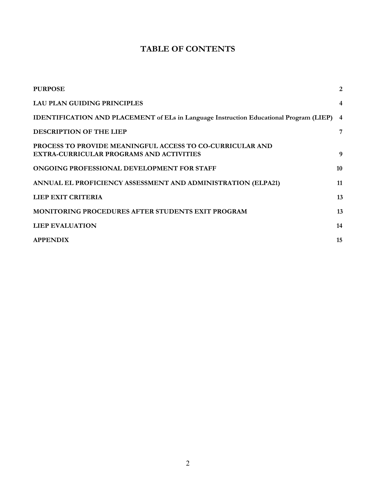## **TABLE OF CONTENTS**

<span id="page-1-0"></span>

| <b>PURPOSE</b>                                                                                        | $\overline{2}$ |
|-------------------------------------------------------------------------------------------------------|----------------|
| LAU PLAN GUIDING PRINCIPLES                                                                           | 4              |
| IDENTIFICATION AND PLACEMENT of ELs in Language Instruction Educational Program (LIEP) 4              |                |
| DESCRIPTION OF THE LIEP                                                                               | 7              |
| PROCESS TO PROVIDE MEANINGFUL ACCESS TO CO-CURRICULAR AND<br>EXTRA-CURRICULAR PROGRAMS AND ACTIVITIES | 9              |
| ONGOING PROFESSIONAL DEVELOPMENT FOR STAFF                                                            | 10             |
| ANNUAL EL PROFICIENCY ASSESSMENT AND ADMINISTRATION (ELPA21)                                          | 11             |
| <b>LIEP EXIT CRITERIA</b>                                                                             | 13             |
| <b>MONITORING PROCEDURES AFTER STUDENTS EXIT PROGRAM</b>                                              | 13             |
| <b>LIEP EVALUATION</b>                                                                                | 14             |
| <b>APPENDIX</b>                                                                                       | 15             |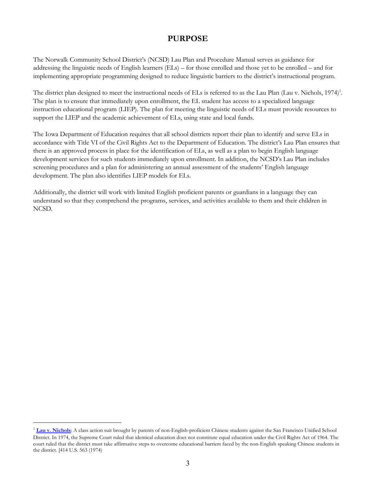#### **PURPOSE**

The Norwalk Community School District's (NCSD) Lau Plan and Procedure Manual serves as guidance for addressing the linguistic needs of English learners (ELs) – for those enrolled and those yet to be enrolled – and for implementing appropriate programming designed to reduce linguistic barriers to the district's instructional program.

The district plan designed to meet the instructional needs of ELs is referred to as the Lau Plan (Lau v. Nichols, 1974)<sup>1</sup>. The plan is to ensure that immediately upon enrollment, the EL student has access to a specialized language instruction educational program (LIEP). The plan for meeting the linguistic needs of ELs must provide resources to support the LIEP and the academic achievement of ELs, using state and local funds.

The Iowa Department of Education requires that all school districts report their plan to identify and serve ELs in accordance with Title VI of the Civil Rights Act to the Department of Education. The district's Lau Plan ensures that there is an approved process in place for the identification of ELs, as well as a plan to begin English language development services for such students immediately upon enrollment. In addition, the NCSD's Lau Plan includes screening procedures and a plan for administering an annual assessment of the students' English language development. The plan also identifies LIEP models for ELs.

Additionally, the district will work with limited English proficient parents or guardians in a language they can understand so that they comprehend the programs, services, and activities available to them and their children in NCSD.

<sup>&</sup>lt;sup>1</sup> [Lau v. Nichols](http://www2.ed.gov/about/offices/list/ocr/ell/lau.html): A class action suit brought by parents of non-English-proficient Chinese students against the San Francisco Unified School District. In 1974, the Supreme Court ruled that identical education does not constitute equal education under the Civil Rights Act of 1964. The court ruled that the district must take affirmative steps to overcome educational barriers faced by the non-English speaking Chinese students in the district. [414 U.S. 563 (1974)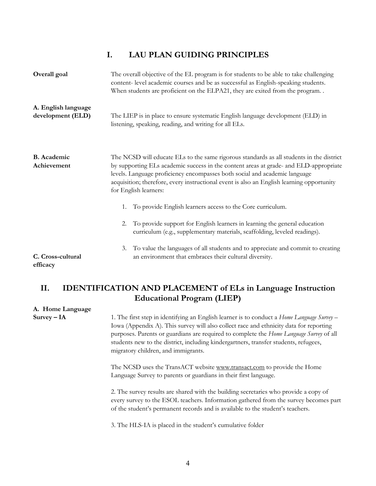#### **I. LAU PLAN GUIDING PRINCIPLES**

<span id="page-3-0"></span>

| Overall goal                             | The overall objective of the EL program is for students to be able to take challenging<br>content- level academic courses and be as successful as English-speaking students.<br>When students are proficient on the ELPA21, they are exited from the program                                                                                                                          |
|------------------------------------------|---------------------------------------------------------------------------------------------------------------------------------------------------------------------------------------------------------------------------------------------------------------------------------------------------------------------------------------------------------------------------------------|
| A. English language<br>development (ELD) | The LIEP is in place to ensure systematic English language development (ELD) in<br>listening, speaking, reading, and writing for all ELs.                                                                                                                                                                                                                                             |
| <b>B.</b> Academic<br>Achievement        | The NCSD will educate ELs to the same rigorous standards as all students in the district<br>by supporting ELs academic success in the content areas at grade- and ELD-appropriate<br>levels. Language proficiency encompasses both social and academic language<br>acquisition; therefore, every instructional event is also an English learning opportunity<br>for English learners: |
|                                          | To provide English learners access to the Core curriculum.<br>1.                                                                                                                                                                                                                                                                                                                      |
|                                          | To provide support for English learners in learning the general education<br>2.<br>curriculum (e.g., supplementary materials, scaffolding, leveled readings).                                                                                                                                                                                                                         |
| C. Cross-cultural<br>efficacy            | To value the languages of all students and to appreciate and commit to creating<br>3.<br>an environment that embraces their cultural diversity.                                                                                                                                                                                                                                       |

### <span id="page-3-1"></span>**II. IDENTIFICATION AND PLACEMENT of ELs in Language Instruction Educational Program (LIEP)**

## **A. Home Language Survey – IA** 1. The first step in identifying an English learner is to conduct a *Home Language Survey* – Iowa (Appendix A). This survey will also collect race and ethnicity data for reporting purposes. Parents or guardians are required to complete the *Home Language Survey* of all students new to the district, including kindergartners, transfer students, refugees, migratory children, and immigrants. The NCSD uses the TransACT website www.transact.com to provide the Home Language Survey to parents or guardians in their first language. 2. The survey results are shared with the building secretaries who provide a copy of every survey to the ESOL teachers. Information gathered from the survey becomes part of the student's permanent records and is available to the student's teachers.

3. The HLS-IA is placed in the student's cumulative folder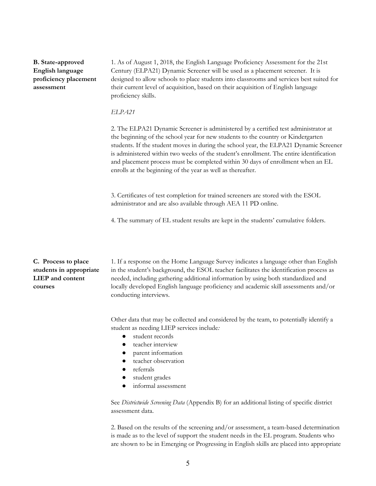**B. State-approved English language proficiency placement assessment**

1. As of August 1, 2018, the English Language Proficiency [Assessment](https://www.educateiowa.gov/english-language-proficiency-assessment-21st-century-elpa-21) for the 21st Century [\(ELPA21\)](https://www.educateiowa.gov/english-language-proficiency-assessment-21st-century-elpa-21) Dynamic Screener will be used as a placement screener. It is designed to allow schools to place students into classrooms and services best suited for their current level of acquisition, based on their acquisition of English language proficiency skills.

#### *ELPA21*

2. The ELPA21 Dynamic Screener is administered by a certified test administrator at the beginning of the school year for new students to the country or Kindergarten students. If the student moves in during the school year, the ELPA21 Dynamic Screener is administered within two weeks of the student's enrollment. The entire identification and placement process must be completed within 30 days of enrollment when an EL enrolls at the beginning of the year as well as thereafter.

3. Certificates of test completion for trained screeners are stored with the ESOL administrator and are also available through AEA 11 PD online.

4. The summary of EL student results are kept in the students' cumulative folders.

**C. Process to place students in appropriate LIEP and content courses**

1. If a response on the Home Language Survey indicates a language other than English in the student's background, the ESOL teacher facilitates the identification process as needed, including gathering additional information by using both standardized and locally developed English language proficiency and academic skill assessments and/or conducting interviews.

Other data that may be collected and considered by the team, to potentially identify a student as needing LIEP services include*:*

- student records
- teacher interview
- parent information
- teacher observation
- referrals
- student grades
- informal assessment

See *Districtwide Screening Data* (Appendix B) for an additional listing of specific district assessment data.

2. Based on the results of the screening and/or assessment, a team-based determination is made as to the level of support the student needs in the EL program. Students who are shown to be in Emerging or Progressing in English skills are placed into appropriate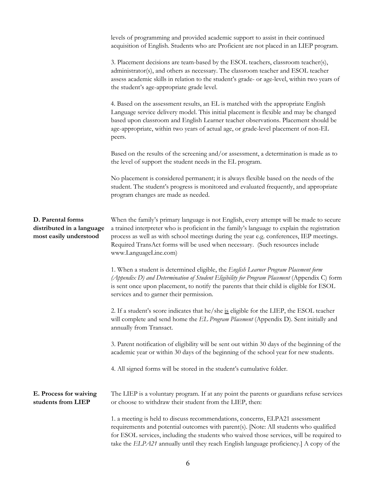|                                                                          | levels of programming and provided academic support to assist in their continued                                                                                                                                                                                                                                                                                                            |
|--------------------------------------------------------------------------|---------------------------------------------------------------------------------------------------------------------------------------------------------------------------------------------------------------------------------------------------------------------------------------------------------------------------------------------------------------------------------------------|
|                                                                          | acquisition of English. Students who are Proficient are not placed in an LIEP program.                                                                                                                                                                                                                                                                                                      |
|                                                                          | 3. Placement decisions are team-based by the ESOL teachers, classroom teacher(s),<br>administrator(s), and others as necessary. The classroom teacher and ESOL teacher<br>assess academic skills in relation to the student's grade- or age-level, within two years of<br>the student's age-appropriate grade level.                                                                        |
|                                                                          | 4. Based on the assessment results, an EL is matched with the appropriate English<br>Language service delivery model. This initial placement is flexible and may be changed<br>based upon classroom and English Learner teacher observations. Placement should be<br>age-appropriate, within two years of actual age, or grade-level placement of non-EL<br>peers.                          |
|                                                                          | Based on the results of the screening and/or assessment, a determination is made as to<br>the level of support the student needs in the EL program.                                                                                                                                                                                                                                         |
|                                                                          | No placement is considered permanent; it is always flexible based on the needs of the<br>student. The student's progress is monitored and evaluated frequently, and appropriate<br>program changes are made as needed.                                                                                                                                                                      |
| D. Parental forms<br>distributed in a language<br>most easily understood | When the family's primary language is not English, every attempt will be made to secure<br>a trained interpreter who is proficient in the family's language to explain the registration<br>process as well as with school meetings during the year e.g. conferences, IEP meetings.<br>Required TransAct forms will be used when necessary. (Such resources include<br>www.LanguageLine.com) |
|                                                                          | 1. When a student is determined eligible, the English Learner Program Placement form<br>(Appendix D) and Determination of Student Eligibility for Program Placement (Appendix C) form<br>is sent once upon placement, to notify the parents that their child is eligible for ESOL<br>services and to garner their permission.                                                               |
|                                                                          | 2. If a student's score indicates that he/she is eligible for the LIEP, the ESOL teacher<br>will complete and send home the EL Program Placement (Appendix D). Sent initially and<br>annually from Transact.                                                                                                                                                                                |
|                                                                          | 3. Parent notification of eligibility will be sent out within 30 days of the beginning of the<br>academic year or within 30 days of the beginning of the school year for new students.                                                                                                                                                                                                      |
|                                                                          | 4. All signed forms will be stored in the student's cumulative folder.                                                                                                                                                                                                                                                                                                                      |
| E. Process for waiving<br>students from LIEP                             | The LIEP is a voluntary program. If at any point the parents or guardians refuse services<br>or choose to withdraw their student from the LIEP, then:                                                                                                                                                                                                                                       |
|                                                                          | 1. a meeting is held to discuss recommendations, concerns, ELPA21 assessment<br>requirements and potential outcomes with parent(s). [Note: All students who qualified<br>for ESOL services, including the students who waived those services, will be required to<br>take the ELPA21 annually until they reach English language proficiency.] A copy of the                                 |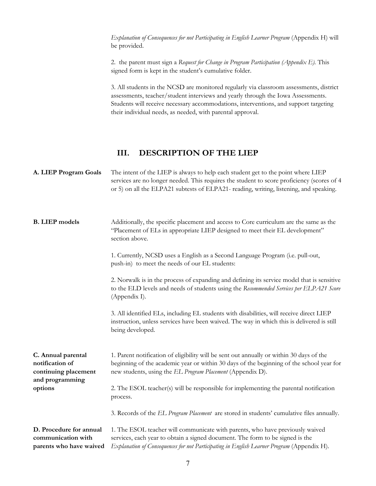*Explanation of Consequences for not Participating in English Learner Program* (Appendix H) will be provided.

2. the parent must sign a *Request for Change in Program Participation (Appendix E).* This signed form is kept in the student's cumulative folder.

3. All students in the NCSD are monitored regularly via classroom assessments, district assessments, teacher/student interviews and yearly through the Iowa Assessments. Students will receive necessary accommodations, interventions, and support targeting their individual needs, as needed, with parental approval.

#### **III. DESCRIPTION OF THE LIEP**

<span id="page-6-0"></span>

| A. LIEP Program Goals                                                                       | The intent of the LIEP is always to help each student get to the point where LIEP<br>services are no longer needed. This requires the student to score proficiency (scores of 4<br>or 5) on all the ELPA21 subtests of ELPA21- reading, writing, listening, and speaking. |
|---------------------------------------------------------------------------------------------|---------------------------------------------------------------------------------------------------------------------------------------------------------------------------------------------------------------------------------------------------------------------------|
| <b>B.</b> LIEP models                                                                       | Additionally, the specific placement and access to Core curriculum are the same as the<br>"Placement of ELs in appropriate LIEP designed to meet their EL development"<br>section above.                                                                                  |
|                                                                                             | 1. Currently, NCSD uses a English as a Second Language Program (i.e. pull-out,<br>push-in) to meet the needs of our EL students:                                                                                                                                          |
|                                                                                             | 2. Norwalk is in the process of expanding and defining its service model that is sensitive<br>to the ELD levels and needs of students using the Recommended Services per ELPA21 Score<br>(Appendix I).                                                                    |
|                                                                                             | 3. All identified ELs, including EL students with disabilities, will receive direct LIEP<br>instruction, unless services have been waived. The way in which this is delivered is still<br>being developed.                                                                |
| C. Annual parental<br>notification of<br>continuing placement<br>and programming<br>options | 1. Parent notification of eligibility will be sent out annually or within 30 days of the<br>beginning of the academic year or within 30 days of the beginning of the school year for<br>new students, using the EL Program Placement (Appendix D).                        |
|                                                                                             | 2. The ESOL teacher(s) will be responsible for implementing the parental notification<br>process.                                                                                                                                                                         |
|                                                                                             | 3. Records of the EL Program Placement are stored in students' cumulative files annually.                                                                                                                                                                                 |
| D. Procedure for annual<br>communication with<br>parents who have waived                    | 1. The ESOL teacher will communicate with parents, who have previously waived<br>services, each year to obtain a signed document. The form to be signed is the<br>Explanation of Consequences for not Participating in English Learner Program (Appendix H).              |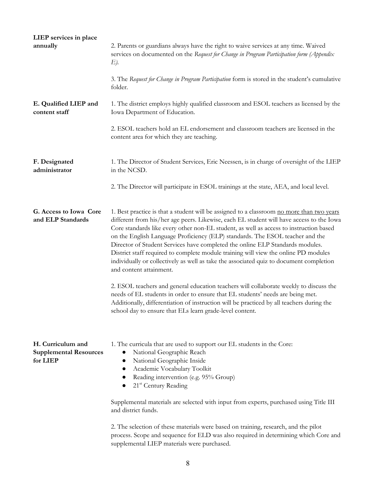| LIEP services in place<br>annually                             | 2. Parents or guardians always have the right to waive services at any time. Waived<br>services on documented on the Request for Change in Program Participation form (Appendix<br>E).                                                                                                                                                                                                                                                                                                                                                                                                                                                                         |
|----------------------------------------------------------------|----------------------------------------------------------------------------------------------------------------------------------------------------------------------------------------------------------------------------------------------------------------------------------------------------------------------------------------------------------------------------------------------------------------------------------------------------------------------------------------------------------------------------------------------------------------------------------------------------------------------------------------------------------------|
|                                                                | 3. The Request for Change in Program Participation form is stored in the student's cumulative<br>folder.                                                                                                                                                                                                                                                                                                                                                                                                                                                                                                                                                       |
| E. Qualified LIEP and<br>content staff                         | 1. The district employs highly qualified classroom and ESOL teachers as licensed by the<br>Iowa Department of Education.                                                                                                                                                                                                                                                                                                                                                                                                                                                                                                                                       |
|                                                                | 2. ESOL teachers hold an EL endorsement and classroom teachers are licensed in the<br>content area for which they are teaching.                                                                                                                                                                                                                                                                                                                                                                                                                                                                                                                                |
| F. Designated<br>administrator                                 | 1. The Director of Student Services, Eric Neessen, is in charge of oversight of the LIEP<br>in the NCSD.                                                                                                                                                                                                                                                                                                                                                                                                                                                                                                                                                       |
|                                                                | 2. The Director will participate in ESOL trainings at the state, AEA, and local level.                                                                                                                                                                                                                                                                                                                                                                                                                                                                                                                                                                         |
| G. Access to Iowa Core<br>and ELP Standards                    | 1. Best practice is that a student will be assigned to a classroom no more than two years<br>different from his/her age peers. Likewise, each EL student will have access to the Iowa<br>Core standards like every other non-EL student, as well as access to instruction based<br>on the English Language Proficiency (ELP) standards. The ESOL teacher and the<br>Director of Student Services have completed the online ELP Standards modules.<br>District staff required to complete module training will view the online PD modules<br>individually or collectively as well as take the associated quiz to document completion<br>and content attainment. |
|                                                                | 2. ESOL teachers and general education teachers will collaborate weekly to discuss the<br>needs of EL students in order to ensure that EL students' needs are being met.<br>Additionally, differentiation of instruction will be practiced by all teachers during the<br>school day to ensure that ELs learn grade-level content.                                                                                                                                                                                                                                                                                                                              |
| H. Curriculum and<br><b>Supplemental Resources</b><br>for LIEP | 1. The curricula that are used to support our EL students in the Core:<br>National Geographic Reach<br>National Geographic Inside<br>Academic Vocabulary Toolkit<br>Reading intervention (e.g. 95% Group)<br>$\bullet$<br>21 <sup>st</sup> Century Reading<br>$\bullet$                                                                                                                                                                                                                                                                                                                                                                                        |
|                                                                | Supplemental materials are selected with input from experts, purchased using Title III<br>and district funds.                                                                                                                                                                                                                                                                                                                                                                                                                                                                                                                                                  |
|                                                                | 2. The selection of these materials were based on training, research, and the pilot<br>process. Scope and sequence for ELD was also required in determining which Core and<br>supplemental LIEP materials were purchased.                                                                                                                                                                                                                                                                                                                                                                                                                                      |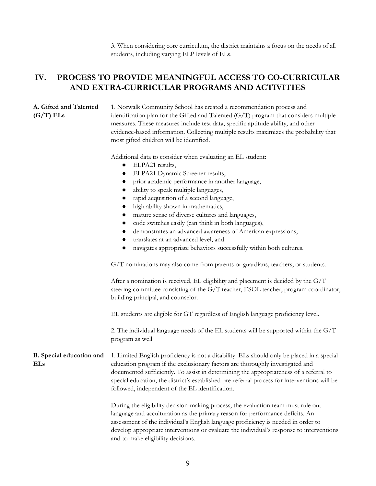3. When considering core curriculum, the district maintains a focus on the needs of all students, including varying ELP levels of ELs.

#### <span id="page-8-0"></span>**IV. PROCESS TO PROVIDE MEANINGFUL ACCESS TO CO-CURRICULAR AND EXTRA-CURRICULAR PROGRAMS AND ACTIVITIES**

#### **A. Gifted and Talented (G/T) ELs**

1. Norwalk Community School has created a recommendation process and identification plan for the Gifted and Talented  $(G/T)$  program that considers multiple measures. These measures include test data, specific aptitude ability, and other evidence-based information. Collecting multiple results maximizes the probability that most gifted children will be identified.

Additional data to consider when evaluating an EL student:

- ELPA21 results,
- ELPA21 Dynamic Screener results,
- prior academic performance in another language,
- ability to speak multiple languages,
- rapid acquisition of a second language,
- high ability shown in mathematics,
- mature sense of diverse cultures and languages,
- code switches easily (can think in both languages),
- demonstrates an advanced awareness of American expressions,
- translates at an advanced level, and
- navigates appropriate behaviors successfully within both cultures.

G/T nominations may also come from parents or guardians, teachers, or students.

After a nomination is received, EL eligibility and placement is decided by the  $G/T$ steering committee consisting of the G/T teacher, ESOL teacher, program coordinator, building principal, and counselor.

EL students are eligible for GT regardless of English language proficiency level.

2. The individual language needs of the EL students will be supported within the G/T program as well.

**B. Special education and ELs** 1. Limited English proficiency is not a disability. ELs should only be placed in a special education program if the exclusionary factors are thoroughly investigated and documented sufficiently. To assist in determining the appropriateness of a referral to special education, the district's established pre-referral process for interventions will be followed, independent of the EL identification.

> During the eligibility decision-making process, the evaluation team must rule out language and acculturation as the primary reason for performance deficits. An assessment of the individual's English language proficiency is needed in order to develop appropriate interventions or evaluate the individual's response to interventions and to make eligibility decisions.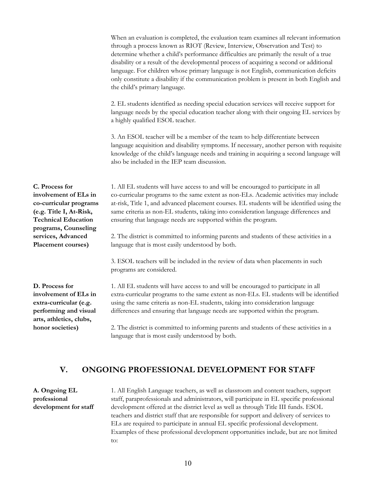When an evaluation is completed, the evaluation team examines all relevant information through a process known as RIOT (Review, Interview, Observation and Test) to determine whether a child's performance difficulties are primarily the result of a true disability or a result of the developmental process of acquiring a second or additional language. For children whose primary language is not English, communication deficits only constitute a disability if the communication problem is present in both English and the child's primary language.

2. EL students identified as needing special education services will receive support for language needs by the special education teacher along with their ongoing EL services by a highly qualified ESOL teacher.

3. An ESOL teacher will be a member of the team to help differentiate between language acquisition and disability symptoms. If necessary, another person with requisite knowledge of the child's language needs and training in acquiring a second language will also be included in the IEP team discussion.

**C. Process for involvement of ELs in co-curricular programs (e.g. Title I, At-Risk, Technical Education programs, Counseling services, Advanced Placement courses)**

1. All EL students will have access to and will be encouraged to participate in all co-curricular programs to the same extent as non-ELs. Academic activities may include at-risk, Title 1, and advanced placement courses. EL students will be identified using the same criteria as non-EL students, taking into consideration language differences and ensuring that language needs are supported within the program.

2. The district is committed to informing parents and students of these activities in a language that is most easily understood by both.

3. ESOL teachers will be included in the review of data when placements in such programs are considered.

**D. Process for involvement of ELs in extra-curricular (e.g. performing and visual arts, athletics, clubs, honor societies)**

1. All EL students will have access to and will be encouraged to participate in all extra-curricular programs to the same extent as non-ELs. EL students will be identified using the same criteria as non-EL students, taking into consideration language differences and ensuring that language needs are supported within the program.

2. The district is committed to informing parents and students of these activities in a language that is most easily understood by both.

#### <span id="page-9-0"></span>**V. ONGOING PROFESSIONAL DEVELOPMENT FOR STAFF**

**A. Ongoing EL professional development for staff**

1. All English Language teachers, as well as classroom and content teachers, support staff, paraprofessionals and administrators, will participate in EL specific professional development offered at the district level as well as through Title III funds. ESOL teachers and district staff that are responsible for support and delivery of services to ELs are required to participate in annual EL specific professional development. Examples of these professional development opportunities include, but are not limited to: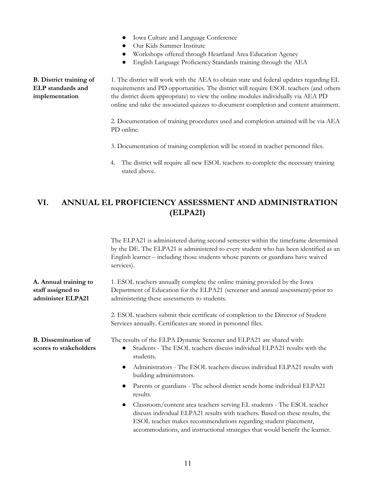- Iowa Culture and Language Conference
- Our Kids Summer Institute
- Workshops offered through Heartland Area Education Agency
- English Language Proficiency Standards training through the AEA

**B. District training of ELP standards and implementation** 1. The district will work with the AEA to obtain state and federal updates regarding EL requirements and PD opportunities. The district will require ESOL teachers (and others the district deem appropriate) to view the online modules individually via AEA PD online and take the associated quizzes to document completion and content attainment.

> 2. Documentation of training procedures used and completion attained will be via AEA PD online.

- 3. Documentation of training completion will be stored in teacher personnel files.
- 4. The district will require all new ESOL teachers to complete the necessary training stated above.

### <span id="page-10-0"></span>**VI. ANNUAL EL PROFICIENCY ASSESSMENT AND ADMINISTRATION (ELPA21)**

The ELPA21 is administered during second semester within the timeframe determined by the DE. The ELPA21 is administered to every student who has been identified as an English learner – including those students whose parents or guardians have waived services). **A. Annual training to staff assigned to administer ELPA21** 1. ESOL teachers annually complete the online training provided by the Iowa Department of Education for the ELPA21 (screener and annual assessment) prior to administering these assessments to students. 2. ESOL teachers submit their certificate of completion to the Director of Student Services annually. Certificates are stored in personnel files. **B. Dissemination of scores to stakeholders** The results of the ELPA Dynamic Screener and ELPA21 are shared with: ● Students - The ESOL teachers discuss individual ELPA21 results with the students.

- Administrators The ESOL teachers discuss individual ELPA21 results with building administrators.
- Parents or guardians The school district sends home individual ELPA21 results.
- Classroom/content area teachers serving EL students The ESOL teacher discuss individual ELPA21 results with teachers. Based on these results, the ESOL teacher makes recommendations regarding student placement, accommodations, and instructional strategies that would benefit the learner.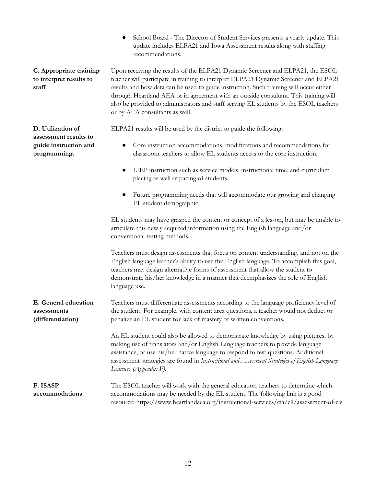School Board - The Director of Student Services presents a yearly update. This update includes ELPA21 and Iowa Assessment results along with staffing recommendations.

**C. Appropriate training to interpret results to staff**

**D. Utilization of assessment results to guide instruction and**

**programming.**

Upon receiving the results of the ELPA21 Dynamic Screener and ELPA21, the ESOL teacher will participate in training to interpret ELPA21 Dynamic Screener and ELPA21 results and how data can be used to guide instruction. Such training will occur either through Heartland AEA or in agreement with an outside consultant. This training will also be provided to administrators and staff serving EL students by the ESOL teachers or by AEA consultants as well.

ELPA21 results will be used by the district to guide the following:

- Core instruction accommodations, modifications and recommendations for classroom teachers to allow EL students access to the core instruction.
- LIEP instruction such as service models, instructional time, and curriculum placing as well as pacing of students.
- Future programming needs that will accommodate our growing and changing EL student demographic.

EL students may have grasped the content or concept of a lesson, but may be unable to articulate this newly acquired information using the English language and/or conventional testing methods.

Teachers must design assessments that focus on content understanding, and not on the English language learner's ability to use the English language. To accomplish this goal, teachers may design alternative forms of assessment that allow the student to demonstrate his/her knowledge in a manner that deemphasizes the role of English language use.

**E. General education assessments (differentiation)** Teachers must differentiate assessments according to the language proficiency level of the student. For example, with content area questions, a teacher would not deduct or penalize an EL student for lack of mastery of written conventions.

> An EL student could also be allowed to demonstrate knowledge by using pictures, by making use of translators and/or English Language teachers to provide language assistance, or use his/her native language to respond to test questions. Additional assessment strategies are found in *Instructional and Assessment Strategies of English Language Learners (Appendix F).*

**F. ISASP accommodations** The ESOL teacher will work with the general education teachers to determine which accommodations may be needed by the EL student. The following link is a good resource: <https://www.heartlandaea.org/instructional-services/cia/ell/assessment-of-els>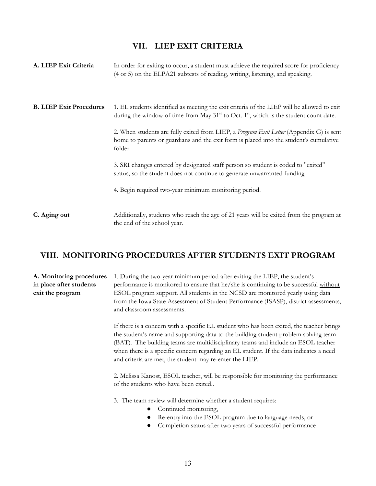#### **VII. LIEP EXIT CRITERIA**

<span id="page-12-0"></span>

| A. LIEP Exit Criteria          | In order for exiting to occur, a student must achieve the required score for proficiency<br>(4 or 5) on the ELPA21 subtests of reading, writing, listening, and speaking.                          |
|--------------------------------|----------------------------------------------------------------------------------------------------------------------------------------------------------------------------------------------------|
| <b>B. LIEP Exit Procedures</b> | 1. EL students identified as meeting the exit criteria of the LIEP will be allowed to exit<br>during the window of time from May $31st$ to Oct. 1 <sup>st</sup> , which is the student count date. |
|                                | 2. When students are fully exited from LIEP, a Program Exit Letter (Appendix G) is sent<br>home to parents or guardians and the exit form is placed into the student's cumulative<br>folder.       |
|                                | 3. SRI changes entered by designated staff person so student is coded to "exited"<br>status, so the student does not continue to generate unwarranted funding                                      |
|                                | 4. Begin required two-year minimum monitoring period.                                                                                                                                              |
| C. Aging out                   | Additionally, students who reach the age of 21 years will be exited from the program at<br>the end of the school year.                                                                             |

#### <span id="page-12-1"></span>**VIII. MONITORING PROCEDURES AFTER STUDENTS EXIT PROGRAM**

#### **A. Monitoring procedures in place after students exit the program** 1. During the two-year minimum period after exiting the LIEP, the student's performance is monitored to ensure that he/she is continuing to be successful without ESOL program support. All students in the NCSD are monitored yearly using data from the Iowa State Assessment of Student Performance (ISASP), district assessments, and classroom assessments.

If there is a concern with a specific EL student who has been exited, the teacher brings the student's name and supporting data to the building student problem solving team (BAT). The building teams are multidisciplinary teams and include an ESOL teacher when there is a specific concern regarding an EL student. If the data indicates a need and criteria are met, the student may re-enter the LIEP.

2. Melissa Kanost, ESOL teacher, will be responsible for monitoring the performance of the students who have been exited..

3. The team review will determine whether a student requires:

- Continued monitoring,
- Re-entry into the ESOL program due to language needs, or
- Completion status after two years of successful performance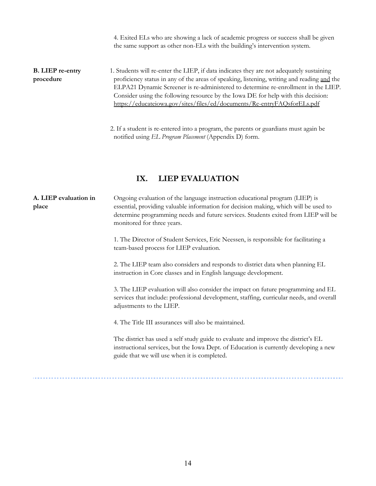4. Exited ELs who are showing a lack of academic progress or success shall be given the same support as other non-ELs with the building's intervention system.

**B. LIEP re-entry procedure** 1. Students will re-enter the LIEP, if data indicates they are not adequately sustaining proficiency status in any of the areas of speaking, listening, writing and reading and the ELPA21 Dynamic Screener is re-administered to determine re-enrollment in the LIEP. Consider using the following resource by the Iowa DE for help with this decision: <https://educateiowa.gov/sites/files/ed/documents/Re-entryFAQsforELs.pdf>

> 2. If a student is re-entered into a program, the parents or guardians must again be notified using *EL Program Placement* (Appendix D) form.

#### **IX. LIEP EVALUATION**

<span id="page-13-0"></span>**A. LIEP evaluation in place** Ongoing evaluation of the language instruction educational program (LIEP) is essential, providing valuable information for decision making, which will be used to determine programming needs and future services. Students exited from LIEP will be monitored for three years.

> 1. The Director of Student Services, Eric Neessen, is responsible for facilitating a team-based process for LIEP evaluation.

> 2. The LIEP team also considers and responds to district data when planning EL instruction in Core classes and in English language development.

3. The LIEP evaluation will also consider the impact on future programming and EL services that include: professional development, staffing, curricular needs, and overall adjustments to the LIEP.

4. The Title III assurances will also be maintained.

The district has used a self study guide to evaluate and improve the district's EL instructional services, but the Iowa Dept. of Education is currently developing a new guide that we will use when it is completed.